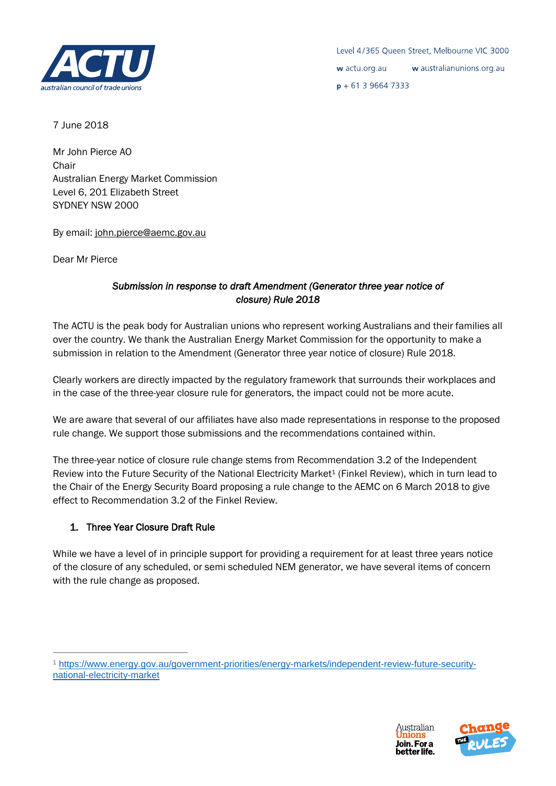

7 June 2018

Mr John Pierce AO Chair Australian Energy Market Commission Level 6, 201 Elizabeth Street SYDNEY NSW 2000

By email[: john.pierce@aemc.gov.au](mailto:john.pierce@aemc.gov.au)

Dear Mr Pierce

 $\overline{a}$ 

# *Submission in response to draft Amendment (Generator three year notice of closure) Rule 2018*

The ACTU is the peak body for Australian unions who represent working Australians and their families all over the country. We thank the Australian Energy Market Commission for the opportunity to make a submission in relation to the Amendment (Generator three year notice of closure) Rule 2018.

Clearly workers are directly impacted by the regulatory framework that surrounds their workplaces and in the case of the three-year closure rule for generators, the impact could not be more acute.

We are aware that several of our affiliates have also made representations in response to the proposed rule change. We support those submissions and the recommendations contained within.

The three-year notice of closure rule change stems from Recommendation 3.2 of the Independent Review into the Future Security of the National Electricity Market<sup>1</sup> (Finkel Review), which in turn lead to the Chair of the Energy Security Board proposing a rule change to the AEMC on 6 March 2018 to give effect to Recommendation 3.2 of the Finkel Review.

# 1. Three Year Closure Draft Rule

While we have a level of in principle support for providing a requirement for at least three years notice of the closure of any scheduled, or semi scheduled NEM generator, we have several items of concern with the rule change as proposed.





<sup>1</sup> [https://www.energy.gov.au/government-priorities/energy-markets/independent-review-future-security](https://www.energy.gov.au/government-priorities/energy-markets/independent-review-future-security-national-electricity-market)[national-electricity-market](https://www.energy.gov.au/government-priorities/energy-markets/independent-review-future-security-national-electricity-market)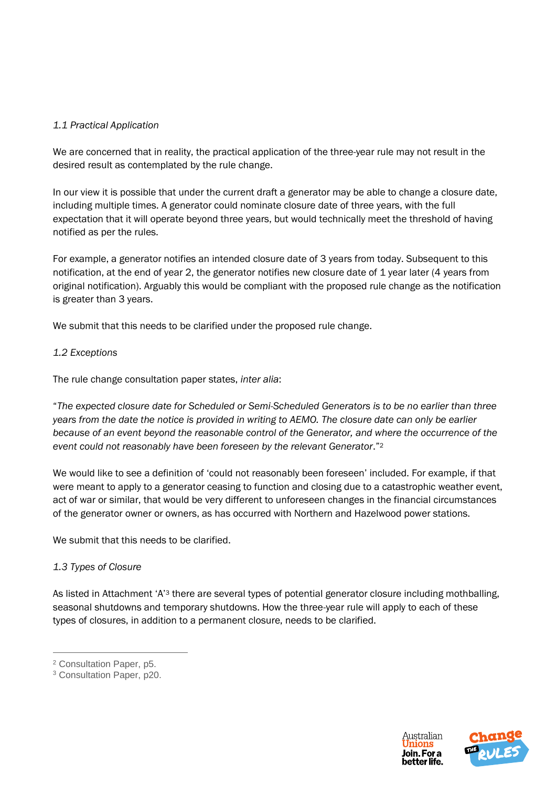### *1.1 Practical Application*

We are concerned that in reality, the practical application of the three-year rule may not result in the desired result as contemplated by the rule change.

In our view it is possible that under the current draft a generator may be able to change a closure date, including multiple times. A generator could nominate closure date of three years, with the full expectation that it will operate beyond three years, but would technically meet the threshold of having notified as per the rules.

For example, a generator notifies an intended closure date of 3 years from today. Subsequent to this notification, at the end of year 2, the generator notifies new closure date of 1 year later (4 years from original notification). Arguably this would be compliant with the proposed rule change as the notification is greater than 3 years.

We submit that this needs to be clarified under the proposed rule change.

### *1.2 Exceptions*

The rule change consultation paper states, *inter alia*:

"*The expected closure date for Scheduled or Semi-Scheduled Generators is to be no earlier than three years from the date the notice is provided in writing to AEMO. The closure date can only be earlier because of an event beyond the reasonable control of the Generator, and where the occurrence of the event could not reasonably have been foreseen by the relevant Generator*."<sup>2</sup>

We would like to see a definition of 'could not reasonably been foreseen' included. For example, if that were meant to apply to a generator ceasing to function and closing due to a catastrophic weather event, act of war or similar, that would be very different to unforeseen changes in the financial circumstances of the generator owner or owners, as has occurred with Northern and Hazelwood power stations.

We submit that this needs to be clarified.

# *1.3 Types of Closure*

As listed in Attachment 'A'<sup>3</sup> there are several types of potential generator closure including mothballing, seasonal shutdowns and temporary shutdowns. How the three-year rule will apply to each of these types of closures, in addition to a permanent closure, needs to be clarified.

 $\overline{a}$ 





<sup>2</sup> Consultation Paper, p5.

<sup>3</sup> Consultation Paper, p20.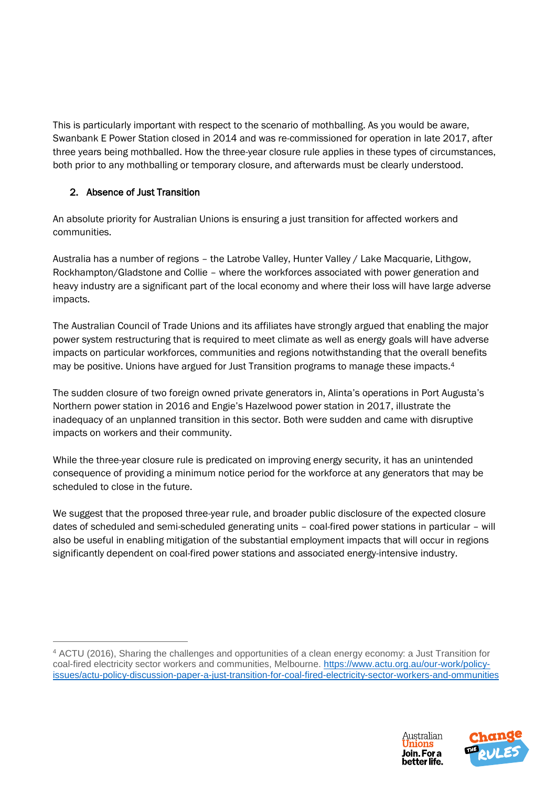This is particularly important with respect to the scenario of mothballing. As you would be aware, Swanbank E Power Station closed in 2014 and was re-commissioned for operation in late 2017, after three years being mothballed. How the three-year closure rule applies in these types of circumstances, both prior to any mothballing or temporary closure, and afterwards must be clearly understood.

# 2. Absence of Just Transition

 $\overline{a}$ 

An absolute priority for Australian Unions is ensuring a just transition for affected workers and communities.

Australia has a number of regions – the Latrobe Valley, Hunter Valley / Lake Macquarie, Lithgow, Rockhampton/Gladstone and Collie – where the workforces associated with power generation and heavy industry are a significant part of the local economy and where their loss will have large adverse impacts.

The Australian Council of Trade Unions and its affiliates have strongly argued that enabling the major power system restructuring that is required to meet climate as well as energy goals will have adverse impacts on particular workforces, communities and regions notwithstanding that the overall benefits may be positive. Unions have argued for Just Transition programs to manage these impacts.<sup>4</sup>

The sudden closure of two foreign owned private generators in, Alinta's operations in Port Augusta's Northern power station in 2016 and Engie's Hazelwood power station in 2017, illustrate the inadequacy of an unplanned transition in this sector. Both were sudden and came with disruptive impacts on workers and their community.

While the three-year closure rule is predicated on improving energy security, it has an unintended consequence of providing a minimum notice period for the workforce at any generators that may be scheduled to close in the future.

We suggest that the proposed three-year rule, and broader public disclosure of the expected closure dates of scheduled and semi-scheduled generating units – coal-fired power stations in particular – will also be useful in enabling mitigation of the substantial employment impacts that will occur in regions significantly dependent on coal-fired power stations and associated energy-intensive industry.





<sup>4</sup> ACTU (2016), Sharing the challenges and opportunities of a clean energy economy: a Just Transition for coal-fired electricity sector workers and communities, Melbourne. [https://www.actu.org.au/our-work/policy](https://www.actu.org.au/our-work/policy-issues/actu-policy-discussion-paper-a-just-transition-for-coal-fired-electricity-sector-workers-and-ommunities)[issues/actu-policy-discussion-paper-a-just-transition-for-coal-fired-electricity-sector-workers-and-ommunities](https://www.actu.org.au/our-work/policy-issues/actu-policy-discussion-paper-a-just-transition-for-coal-fired-electricity-sector-workers-and-ommunities)